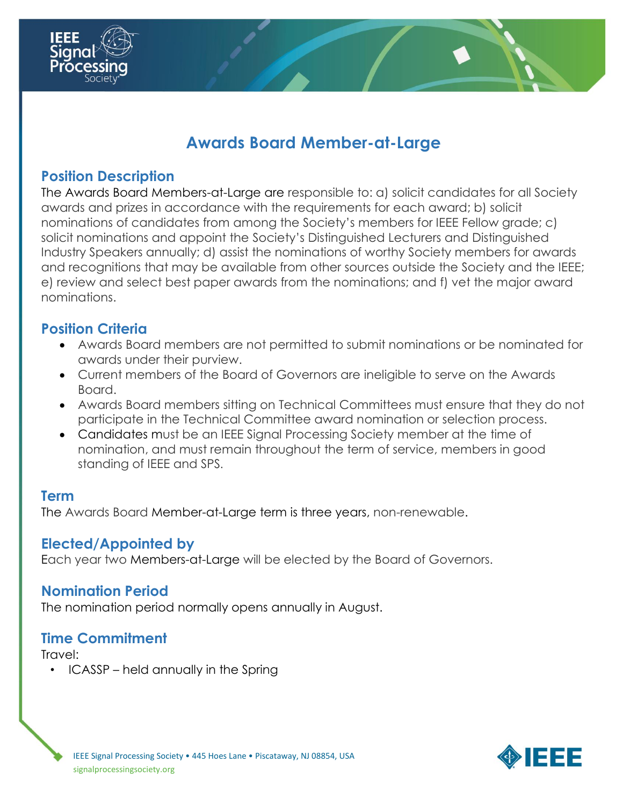

# **Awards Board Member-at-Large**

## **Position Description**

The Awards Board Members-at-Large are responsible to: a) solicit candidates for all Society awards and prizes in accordance with the requirements for each award; b) solicit nominations of candidates from among the Society's members for IEEE Fellow grade; c) solicit nominations and appoint the Society's Distinguished Lecturers and Distinguished Industry Speakers annually; d) assist the nominations of worthy Society members for awards and recognitions that may be available from other sources outside the Society and the IEEE; e) review and select best paper awards from the nominations; and f) vet the major award nominations.

## **Position Criteria**

- Awards Board members are not permitted to submit nominations or be nominated for awards under their purview.
- Current members of the Board of Governors are ineligible to serve on the Awards Board.
- Awards Board members sitting on Technical Committees must ensure that they do not participate in the Technical Committee award nomination or selection process.
- Candidates must be an IEEE Signal Processing Society member at the time of nomination, and must remain throughout the term of service, members in good standing of IEEE and SPS.

#### **Term**

The Awards Board Member-at-Large term is three years, non-renewable.

## **Elected/Appointed by**

Each year two Members-at-Large will be elected by the Board of Governors.

#### **Nomination Period**

The nomination period normally opens annually in August.

#### **Time Commitment**

Travel:

• ICASSP – held annually in the Spring